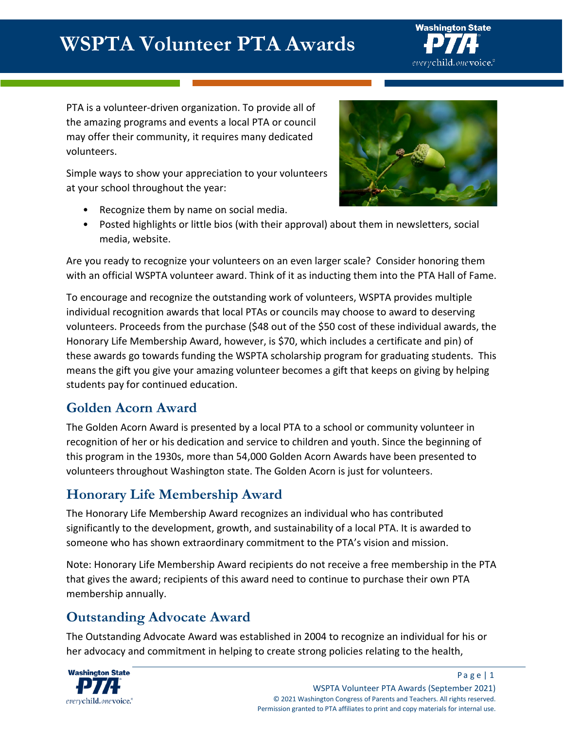# **WSPTA Volunteer PTA Awards**



PTA is a volunteer-driven organization. To provide all of the amazing programs and events a local PTA or council may offer their community, it requires many dedicated volunteers.

Simple ways to show your appreciation to your volunteers at your school throughout the year:

• Recognize them by name on social media.



Are you ready to recognize your volunteers on an even larger scale? Consider honoring them with an official WSPTA volunteer award. Think of it as inducting them into the PTA Hall of Fame.

To encourage and recognize the outstanding work of volunteers, WSPTA provides multiple individual recognition awards that local PTAs or councils may choose to award to deserving volunteers. Proceeds from the purchase (\$48 out of the \$50 cost of these individual awards, the Honorary Life Membership Award, however, is \$70, which includes a certificate and pin) of these awards go towards funding the WSPTA scholarship program for graduating students. This means the gift you give your amazing volunteer becomes a gift that keeps on giving by helping students pay for continued education.

### **Golden Acorn Award**

The Golden Acorn Award is presented by a local PTA to a school or community volunteer in recognition of her or his dedication and service to children and youth. Since the beginning of this program in the 1930s, more than 54,000 Golden Acorn Awards have been presented to volunteers throughout Washington state. The Golden Acorn is just for volunteers.

## **Honorary Life Membership Award**

The Honorary Life Membership Award recognizes an individual who has contributed significantly to the development, growth, and sustainability of a local PTA. It is awarded to someone who has shown extraordinary commitment to the PTA's vision and mission.

Note: Honorary Life Membership Award recipients do not receive a free membership in the PTA that gives the award; recipients of this award need to continue to purchase their own PTA membership annually.

# **Outstanding Advocate Award**

The Outstanding Advocate Award was established in 2004 to recognize an individual for his or her advocacy and commitment in helping to create strong policies relating to the health,